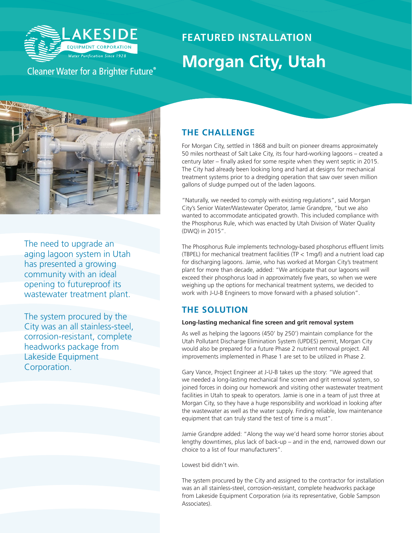

## Cleaner Water for a Brighter Future®

# **FEATURED INSTALLATION Morgan City, Utah**



The need to upgrade an aging lagoon system in Utah has presented a growing community with an ideal opening to futureproof its wastewater treatment plant.

The system procured by the City was an all stainless-steel, corrosion-resistant, complete headworks package from Lakeside Equipment Corporation.

#### **THE CHALLENGE**

For Morgan City, settled in 1868 and built on pioneer dreams approximately 50 miles northeast of Salt Lake City, its four hard-working lagoons – created a century later – finally asked for some respite when they went septic in 2015. The City had already been looking long and hard at designs for mechanical treatment systems prior to a dredging operation that saw over seven million gallons of sludge pumped out of the laden lagoons.

"Naturally, we needed to comply with existing regulations", said Morgan City's Senior Water/Wastewater Operator, Jamie Grandpre, "but we also wanted to accommodate anticipated growth. This included compliance with the Phosphorus Rule, which was enacted by Utah Division of Water Quality (DWQ) in 2015".

The Phosphorus Rule implements technology-based phosphorus effluent limits (TBPEL) for mechanical treatment facilities (TP < 1mg/l) and a nutrient load cap for discharging lagoons. Jamie, who has worked at Morgan City's treatment plant for more than decade, added: "We anticipate that our lagoons will exceed their phosphorus load in approximately five years, so when we were weighing up the options for mechanical treatment systems, we decided to work with J-U-B Engineers to move forward with a phased solution".

### **THE SOLUTION**

#### **Long-lasting mechanical fine screen and grit removal system**

As well as helping the lagoons (450' by 250') maintain compliance for the Utah Pollutant Discharge Elimination System (UPDES) permit, Morgan City would also be prepared for a future Phase 2 nutrient removal project. All improvements implemented in Phase 1 are set to be utilized in Phase 2.

Gary Vance, Project Engineer at J-U-B takes up the story: "We agreed that we needed a long-lasting mechanical fine screen and grit removal system, so joined forces in doing our homework and visiting other wastewater treatment facilities in Utah to speak to operators. Jamie is one in a team of just three at Morgan City, so they have a huge responsibility and workload in looking after the wastewater as well as the water supply. Finding reliable, low maintenance equipment that can truly stand the test of time is a must".

Jamie Grandpre added: "Along the way we'd heard some horror stories about lengthy downtimes, plus lack of back-up – and in the end, narrowed down our choice to a list of four manufacturers".

Lowest bid didn't win.

The system procured by the City and assigned to the contractor for installation was an all stainless-steel, corrosion-resistant, complete headworks package from Lakeside Equipment Corporation (via its representative, Goble Sampson Associates).